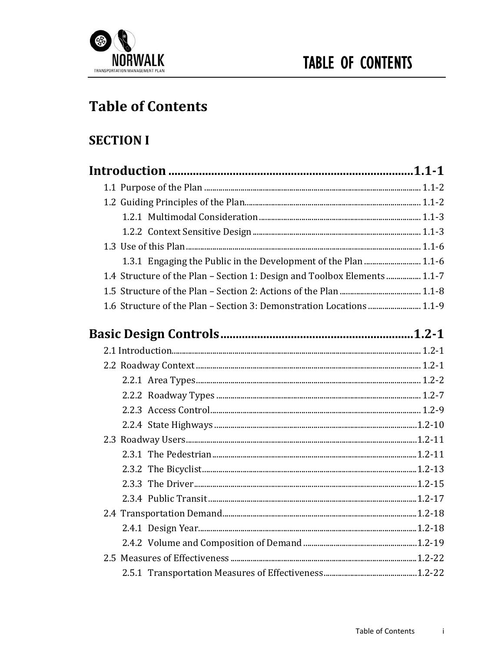

## **Table of Contents**

#### **SECTION I**

| 1.4 Structure of the Plan - Section 1: Design and Toolbox Elements  1.1-7 |  |
|---------------------------------------------------------------------------|--|
|                                                                           |  |
| 1.6 Structure of the Plan - Section 3: Demonstration Locations  1.1-9     |  |
|                                                                           |  |
|                                                                           |  |
|                                                                           |  |
|                                                                           |  |
|                                                                           |  |
|                                                                           |  |
|                                                                           |  |
|                                                                           |  |
|                                                                           |  |
|                                                                           |  |
|                                                                           |  |
|                                                                           |  |
|                                                                           |  |
|                                                                           |  |
|                                                                           |  |
|                                                                           |  |
|                                                                           |  |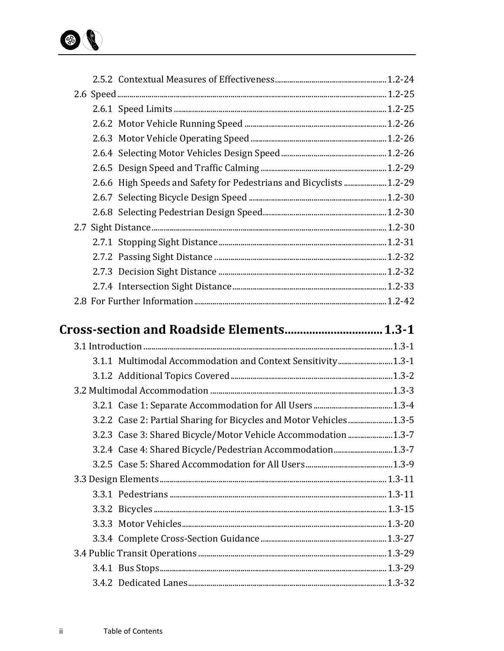

|  | 2.6.6 High Speeds and Safety for Pedestrians and Bicyclists  1.2-29 |  |
|--|---------------------------------------------------------------------|--|
|  |                                                                     |  |
|  |                                                                     |  |
|  |                                                                     |  |
|  |                                                                     |  |
|  |                                                                     |  |
|  |                                                                     |  |
|  |                                                                     |  |
|  |                                                                     |  |
|  |                                                                     |  |
|  |                                                                     |  |
|  |                                                                     |  |
|  |                                                                     |  |
|  | 3.1.1 Multimodal Accommodation and Context Sensitivity 1.3-1        |  |
|  |                                                                     |  |
|  |                                                                     |  |
|  |                                                                     |  |
|  | 3.2.2 Case 2: Partial Sharing for Bicycles and Motor Vehicles 1.3-5 |  |
|  | 3.2.3 Case 3: Shared Bicycle/Motor Vehicle Accommodation1.3-7       |  |
|  |                                                                     |  |
|  |                                                                     |  |
|  |                                                                     |  |
|  |                                                                     |  |
|  |                                                                     |  |
|  |                                                                     |  |
|  |                                                                     |  |
|  |                                                                     |  |
|  |                                                                     |  |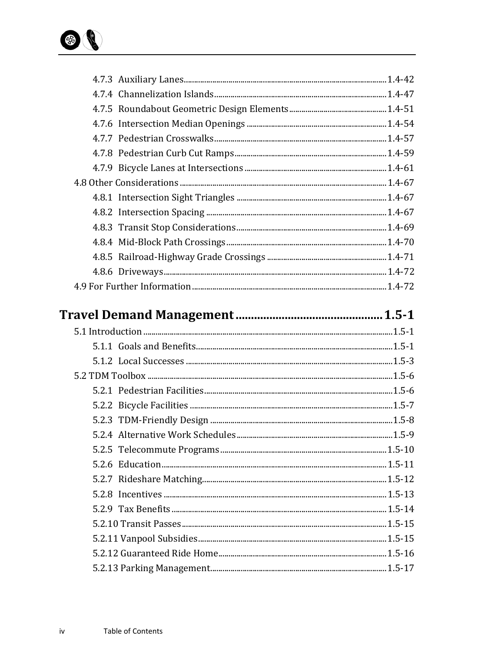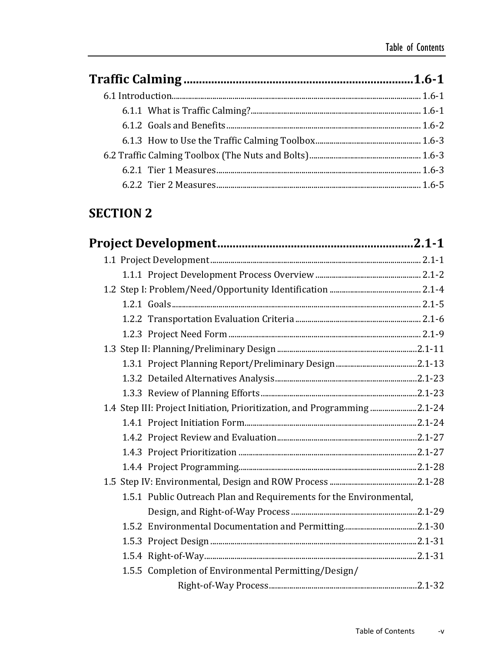### **SECTION 2**

| 1.4 Step III: Project Initiation, Prioritization, and Programming 2.1-24 |  |
|--------------------------------------------------------------------------|--|
|                                                                          |  |
|                                                                          |  |
|                                                                          |  |
|                                                                          |  |
|                                                                          |  |
| 1.5.1 Public Outreach Plan and Requirements for the Environmental,       |  |
|                                                                          |  |
|                                                                          |  |
|                                                                          |  |
|                                                                          |  |
| 1.5.5 Completion of Environmental Permitting/Design/                     |  |
|                                                                          |  |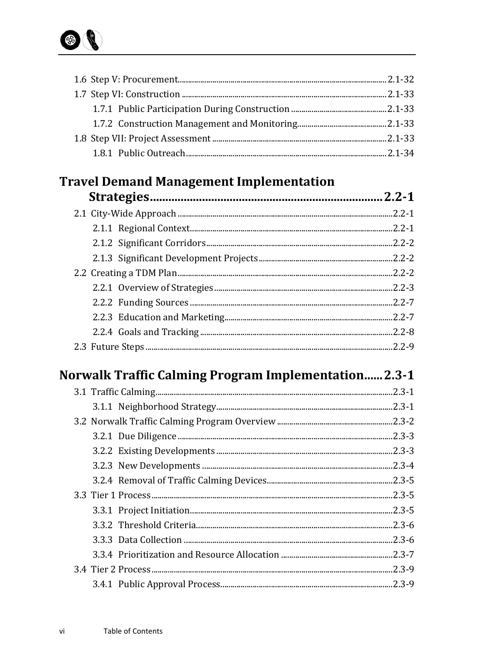

# **Travel Demand Management Implementation**<br>Stratogies

| $.2.2 - 2$ |
|------------|
|            |
|            |
|            |
|            |
|            |

## Norwalk Traffic Calming Program Implementation...... 2.3-1

| $.2.3 - 1$ |
|------------|
| $.2.3 - 1$ |
| $.2.3 - 2$ |
| $.2.3 - 3$ |
| $.2.3 - 3$ |
| $.2.3 - 4$ |
| $.2.3 - 5$ |
|            |
| $.2.3 - 5$ |
| $.2.3 - 6$ |
| $.2.3 - 6$ |
| $.2.3 - 7$ |
| $.2.3 - 9$ |
|            |
|            |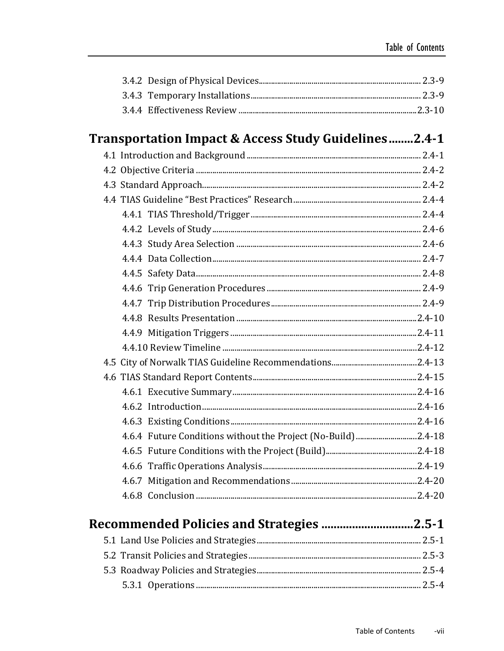| Transportation Impact & Access Study Guidelines2.4-1          |  |
|---------------------------------------------------------------|--|
|                                                               |  |
|                                                               |  |
|                                                               |  |
|                                                               |  |
|                                                               |  |
|                                                               |  |
|                                                               |  |
|                                                               |  |
|                                                               |  |
|                                                               |  |
|                                                               |  |
|                                                               |  |
|                                                               |  |
|                                                               |  |
|                                                               |  |
|                                                               |  |
|                                                               |  |
|                                                               |  |
|                                                               |  |
| 4.6.4 Future Conditions without the Project (No-Build) 2.4-18 |  |
|                                                               |  |
|                                                               |  |
|                                                               |  |
|                                                               |  |
|                                                               |  |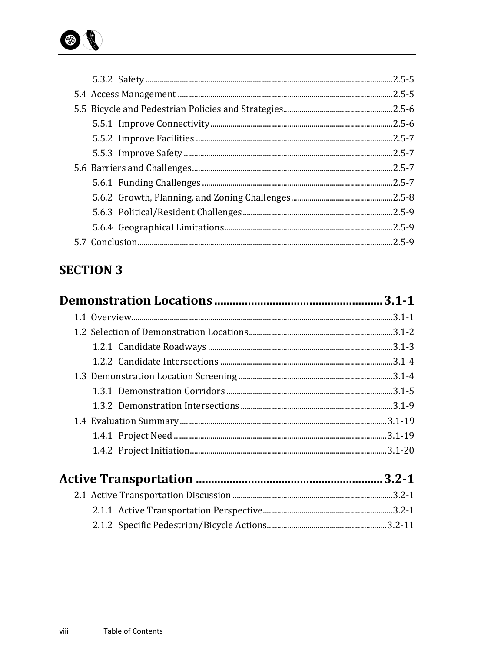

| $.2.5 - 5$ |
|------------|
| $.2.5 - 6$ |
|            |
|            |
| $.2.5 - 7$ |
| $.2.5 - 7$ |
| $.2.5 - 7$ |
|            |
|            |
| $.2.5 - 9$ |
|            |
|            |

### **SECTION 3**